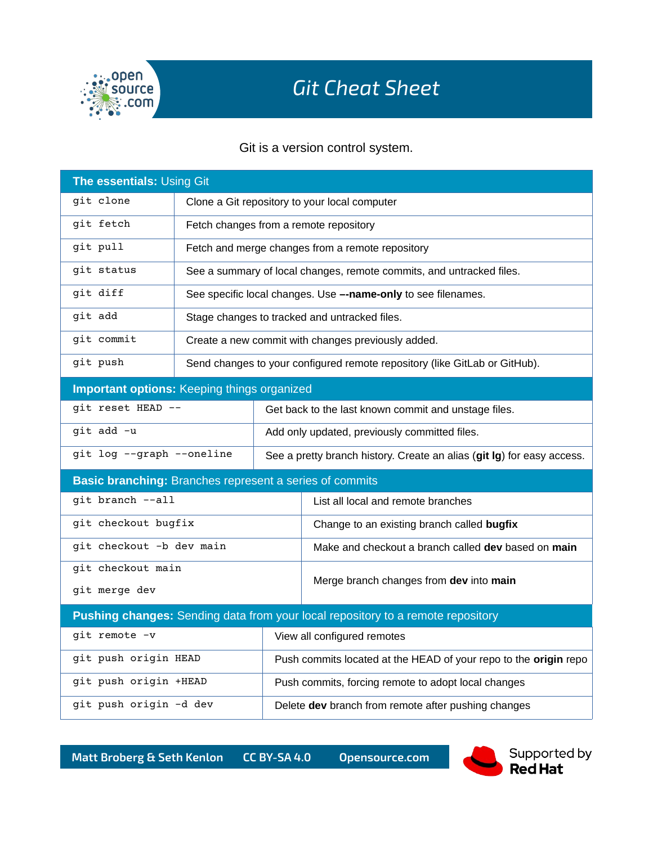

## *Git Cheat Sheet*

Git is a version control system.

| The essentials: Using Git                                                       |                                               |                                                                        |                                                                            |  |
|---------------------------------------------------------------------------------|-----------------------------------------------|------------------------------------------------------------------------|----------------------------------------------------------------------------|--|
| git clone                                                                       | Clone a Git repository to your local computer |                                                                        |                                                                            |  |
| git fetch                                                                       | Fetch changes from a remote repository        |                                                                        |                                                                            |  |
| git pull                                                                        |                                               |                                                                        | Fetch and merge changes from a remote repository                           |  |
| git status                                                                      |                                               |                                                                        | See a summary of local changes, remote commits, and untracked files.       |  |
| git diff                                                                        |                                               |                                                                        | See specific local changes. Use --name-only to see filenames.              |  |
| git add                                                                         | Stage changes to tracked and untracked files. |                                                                        |                                                                            |  |
| git commit                                                                      |                                               |                                                                        | Create a new commit with changes previously added.                         |  |
| git push                                                                        |                                               |                                                                        | Send changes to your configured remote repository (like GitLab or GitHub). |  |
| <b>Important options: Keeping things organized</b>                              |                                               |                                                                        |                                                                            |  |
| git reset HEAD --                                                               |                                               | Get back to the last known commit and unstage files.                   |                                                                            |  |
| git add -u                                                                      |                                               | Add only updated, previously committed files.                          |                                                                            |  |
| git log --graph --oneline                                                       |                                               | See a pretty branch history. Create an alias (git lg) for easy access. |                                                                            |  |
| Basic branching: Branches represent a series of commits                         |                                               |                                                                        |                                                                            |  |
| git branch --all                                                                |                                               |                                                                        | List all local and remote branches                                         |  |
| git checkout bugfix                                                             |                                               |                                                                        | Change to an existing branch called bugfix                                 |  |
| git checkout -b dev main                                                        |                                               |                                                                        | Make and checkout a branch called dev based on main                        |  |
| git checkout main                                                               |                                               |                                                                        | Merge branch changes from dev into main                                    |  |
| git merge dev                                                                   |                                               |                                                                        |                                                                            |  |
| Pushing changes: Sending data from your local repository to a remote repository |                                               |                                                                        |                                                                            |  |
| git remote -v                                                                   |                                               |                                                                        | View all configured remotes                                                |  |
| git push origin HEAD                                                            |                                               |                                                                        | Push commits located at the HEAD of your repo to the origin repo           |  |
| git push origin +HEAD                                                           |                                               |                                                                        | Push commits, forcing remote to adopt local changes                        |  |
| git push origin -d dev                                                          |                                               |                                                                        | Delete dev branch from remote after pushing changes                        |  |

**Matt Broberg & Seth Kenlon CC BY-SA 4.0 Opensource.com**